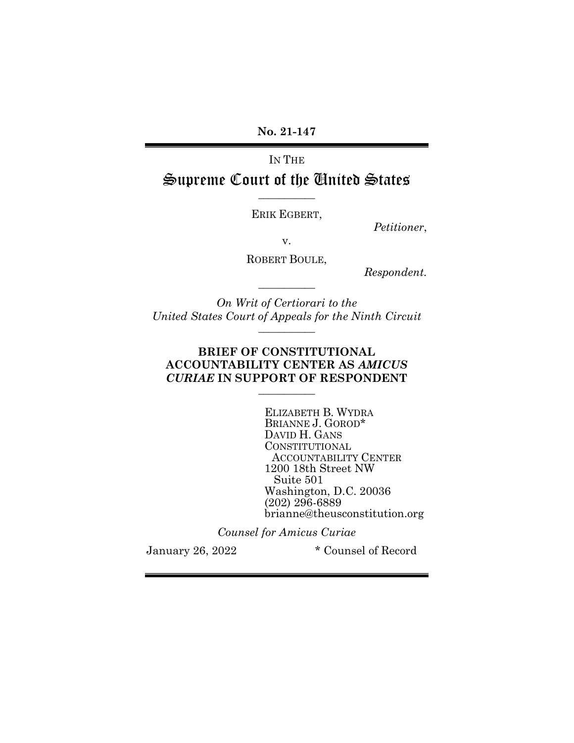No. 21-147

# IN THE Supreme Court of the United States

ERIK EGBERT,

 $\overline{\phantom{a}}$   $\overline{\phantom{a}}$   $\overline{\phantom{a}}$   $\overline{\phantom{a}}$   $\overline{\phantom{a}}$   $\overline{\phantom{a}}$   $\overline{\phantom{a}}$   $\overline{\phantom{a}}$   $\overline{\phantom{a}}$   $\overline{\phantom{a}}$   $\overline{\phantom{a}}$   $\overline{\phantom{a}}$   $\overline{\phantom{a}}$   $\overline{\phantom{a}}$   $\overline{\phantom{a}}$   $\overline{\phantom{a}}$   $\overline{\phantom{a}}$   $\overline{\phantom{a}}$   $\overline{\$ 

Petitioner,

v.

ROBERT BOULE,

 $\overline{\phantom{a}}$   $\overline{\phantom{a}}$   $\overline{\phantom{a}}$   $\overline{\phantom{a}}$   $\overline{\phantom{a}}$   $\overline{\phantom{a}}$   $\overline{\phantom{a}}$   $\overline{\phantom{a}}$   $\overline{\phantom{a}}$   $\overline{\phantom{a}}$   $\overline{\phantom{a}}$   $\overline{\phantom{a}}$   $\overline{\phantom{a}}$   $\overline{\phantom{a}}$   $\overline{\phantom{a}}$   $\overline{\phantom{a}}$   $\overline{\phantom{a}}$   $\overline{\phantom{a}}$   $\overline{\$ 

Respondent.

On Writ of Certiorari to the United States Court of Appeals for the Ninth Circuit

 $\overline{\phantom{a}}$   $\overline{\phantom{a}}$   $\overline{\phantom{a}}$   $\overline{\phantom{a}}$   $\overline{\phantom{a}}$   $\overline{\phantom{a}}$   $\overline{\phantom{a}}$   $\overline{\phantom{a}}$   $\overline{\phantom{a}}$   $\overline{\phantom{a}}$   $\overline{\phantom{a}}$   $\overline{\phantom{a}}$   $\overline{\phantom{a}}$   $\overline{\phantom{a}}$   $\overline{\phantom{a}}$   $\overline{\phantom{a}}$   $\overline{\phantom{a}}$   $\overline{\phantom{a}}$   $\overline{\$ 

#### BRIEF OF CONSTITUTIONAL ACCOUNTABILITY CENTER AS AMICUS CURIAE IN SUPPORT OF RESPONDENT  $\overline{\phantom{a}}$   $\overline{\phantom{a}}$   $\overline{\phantom{a}}$   $\overline{\phantom{a}}$   $\overline{\phantom{a}}$   $\overline{\phantom{a}}$   $\overline{\phantom{a}}$   $\overline{\phantom{a}}$   $\overline{\phantom{a}}$   $\overline{\phantom{a}}$   $\overline{\phantom{a}}$   $\overline{\phantom{a}}$   $\overline{\phantom{a}}$   $\overline{\phantom{a}}$   $\overline{\phantom{a}}$   $\overline{\phantom{a}}$   $\overline{\phantom{a}}$   $\overline{\phantom{a}}$   $\overline{\$

ELIZABETH B. WYDRA BRIANNE J. GOROD\* DAVID H. GANS CONSTITUTIONAL ACCOUNTABILITY CENTER 1200 18th Street NW Suite 501 Washington, D.C. 20036 (202) 296-6889 brianne@theusconstitution.org

Counsel for Amicus Curiae

January 26, 2022 \* Counsel of Record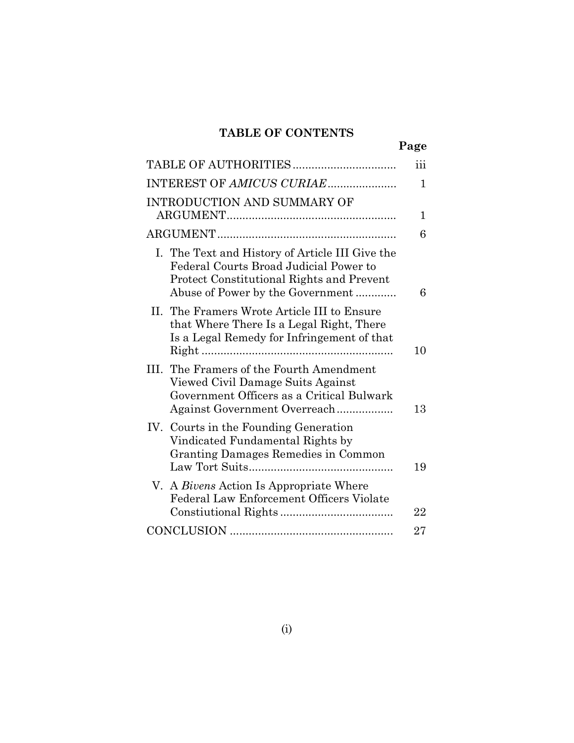## TABLE OF CONTENTS

|                                                                                                                                                                            | Page |
|----------------------------------------------------------------------------------------------------------------------------------------------------------------------------|------|
|                                                                                                                                                                            | iii  |
|                                                                                                                                                                            | 1    |
| <b>INTRODUCTION AND SUMMARY OF</b>                                                                                                                                         | 1    |
|                                                                                                                                                                            | 6    |
| I. The Text and History of Article III Give the<br>Federal Courts Broad Judicial Power to<br>Protect Constitutional Rights and Prevent<br>Abuse of Power by the Government | 6    |
| II. The Framers Wrote Article III to Ensure<br>that Where There Is a Legal Right, There<br>Is a Legal Remedy for Infringement of that                                      | 10   |
| III. The Framers of the Fourth Amendment<br>Viewed Civil Damage Suits Against<br>Government Officers as a Critical Bulwark<br>Against Government Overreach                 | 13   |
| IV. Courts in the Founding Generation<br>Vindicated Fundamental Rights by<br>Granting Damages Remedies in Common                                                           | 19   |
| V. A <i>Bivens</i> Action Is Appropriate Where<br>Federal Law Enforcement Officers Violate                                                                                 | 22   |
|                                                                                                                                                                            | 27   |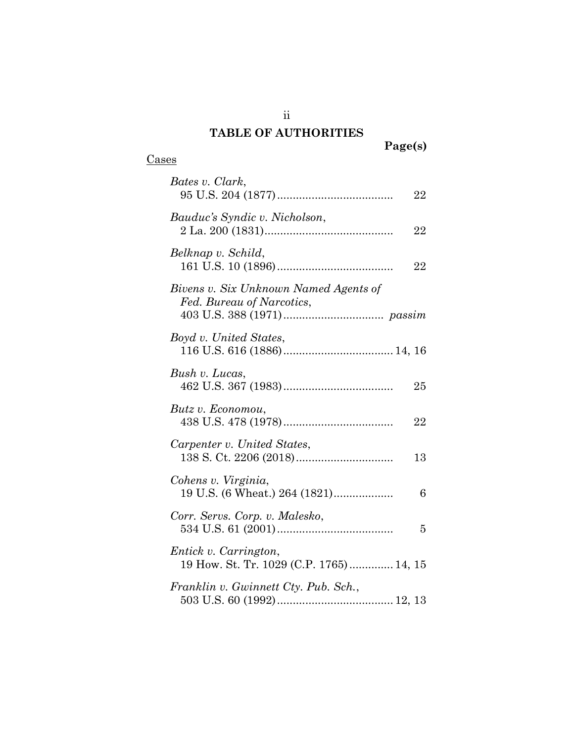## TABLE OF AUTHORITIES

ii

## Cases

| Bates v. Clark,<br>22                                              |
|--------------------------------------------------------------------|
| Bauduc's Syndic v. Nicholson,<br>22                                |
| Belknap v. Schild,<br>22                                           |
| Bivens v. Six Unknown Named Agents of<br>Fed. Bureau of Narcotics, |
| Boyd v. United States,                                             |
| Bush v. Lucas,<br>25                                               |
| Butz v. Economou,<br>22                                            |
| Carpenter v. United States,<br>13                                  |
| Cohens v. Virginia,<br>19 U.S. (6 Wheat.) 264 (1821)<br>6          |
| Corr. Servs. Corp. v. Malesko,<br>5                                |
| Entick v. Carrington,<br>19 How. St. Tr. 1029 (C.P. 1765)  14, 15  |
| Franklin v. Gwinnett Cty. Pub. Sch.,                               |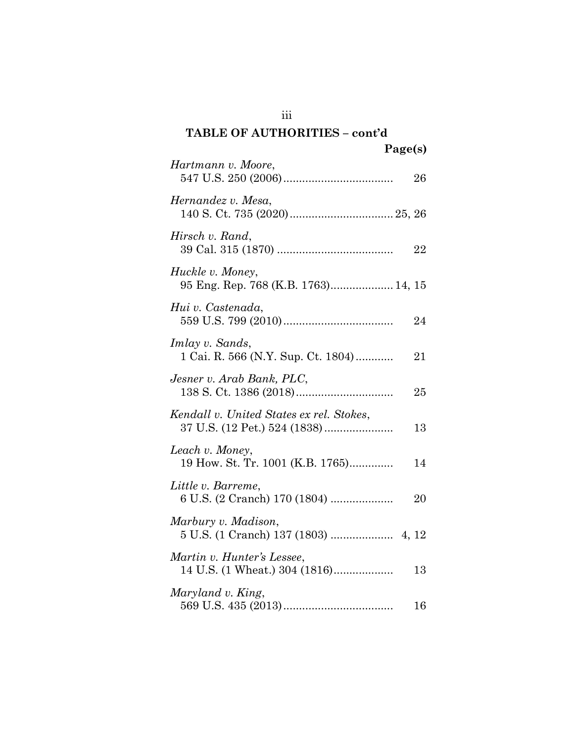| $1 \mu$ s $\mu$                                             |    |
|-------------------------------------------------------------|----|
| Hartmann v. Moore,                                          | 26 |
| Hernandez v. Mesa,                                          |    |
| Hirsch v. Rand,                                             | 22 |
| Huckle v. Money,<br>95 Eng. Rep. 768 (K.B. 1763) 14, 15     |    |
| Hui v. Castenada,                                           | 24 |
| Imlay v. Sands,<br>1 Cai. R. 566 (N.Y. Sup. Ct. 1804)       | 21 |
| Jesner v. Arab Bank, PLC,                                   | 25 |
| Kendall v. United States ex rel. Stokes,                    | 13 |
| Leach v. Money,<br>19 How. St. Tr. 1001 (K.B. 1765)         | 14 |
| Little v. Barreme,                                          | 20 |
| Marbury v. Madison,                                         |    |
| Martin v. Hunter's Lessee,<br>14 U.S. (1 Wheat.) 304 (1816) | 13 |
| Maryland v. King,                                           | 16 |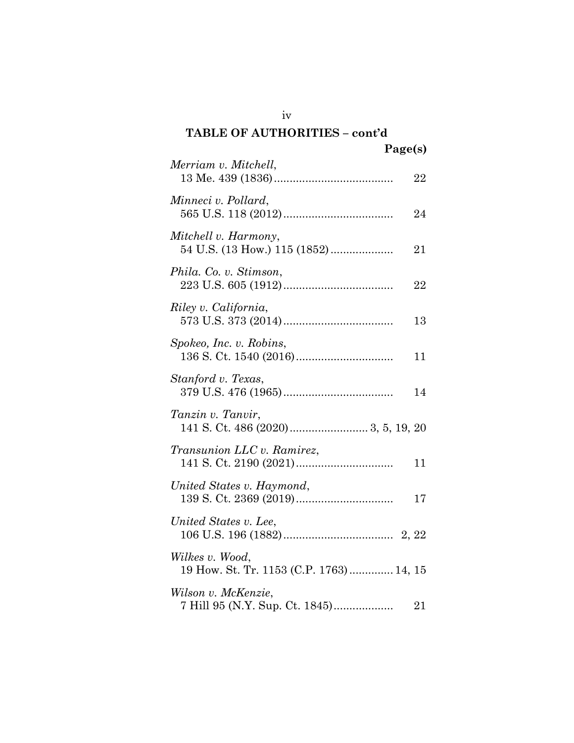### TABLE OF AUTHORITIES – cont'd  $\mathbf{p}_{\alpha\alpha\alpha}(s)$

| rage(s)                                                     |    |
|-------------------------------------------------------------|----|
| Merriam v. Mitchell,                                        | 22 |
| Minneci v. Pollard,                                         | 24 |
| Mitchell v. Harmony,                                        | 21 |
| Phila. Co. v. Stimson,                                      | 22 |
| Riley v. California,                                        | 13 |
| Spokeo, Inc. v. Robins,                                     | 11 |
| Stanford v. Texas,                                          | 14 |
| Tanzin v. Tanvir,                                           |    |
| Transunion LLC v. Ramirez,                                  | 11 |
| United States v. Haymond,                                   | 17 |
| United States v. Lee,                                       |    |
| Wilkes v. Wood,<br>19 How. St. Tr. 1153 (C.P. 1763)  14, 15 |    |
| Wilson v. McKenzie,                                         | 21 |

iv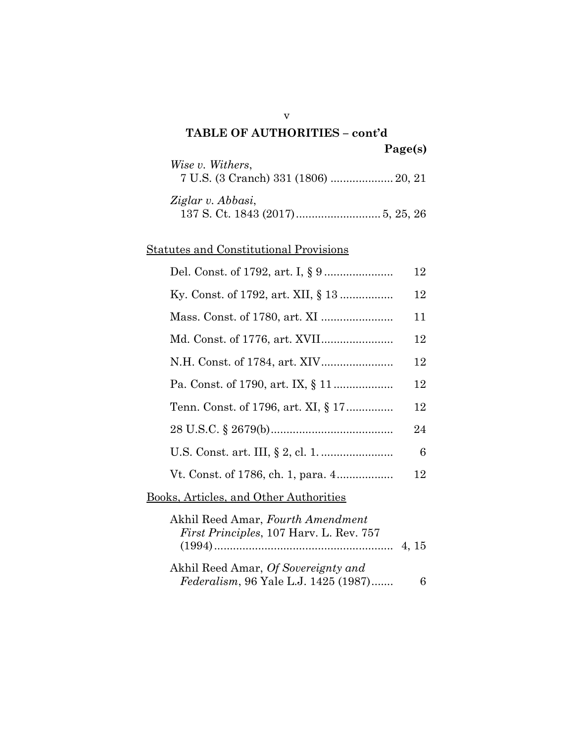## TABLE OF AUTHORITIES – cont'd Page(s) Wise v. Withers, 7 U.S. (3 Cranch) 331 (1806) .................... 20, 21 Ziglar v. Abbasi, 137 S. Ct. 1843 (2017) ........................... 5, 25, 26

v

### Statutes and Constitutional Provisions

|                                                                                     | 12     |
|-------------------------------------------------------------------------------------|--------|
|                                                                                     | 12     |
|                                                                                     | 11     |
|                                                                                     | $12\,$ |
|                                                                                     | 12     |
|                                                                                     | 12     |
| Tenn. Const. of 1796, art. XI, § 17                                                 | 12     |
|                                                                                     | 24     |
|                                                                                     | 6      |
|                                                                                     | 12     |
| <u> Books, Articles, and Other Authorities</u>                                      |        |
| Akhil Reed Amar, Fourth Amendment<br><i>First Principles, 107 Harv. L. Rev. 757</i> |        |
| Akhil Reed Amar, Of Sovereignty and<br><i>Federalism</i> , 96 Yale L.J. 1425 (1987) | 6      |
|                                                                                     |        |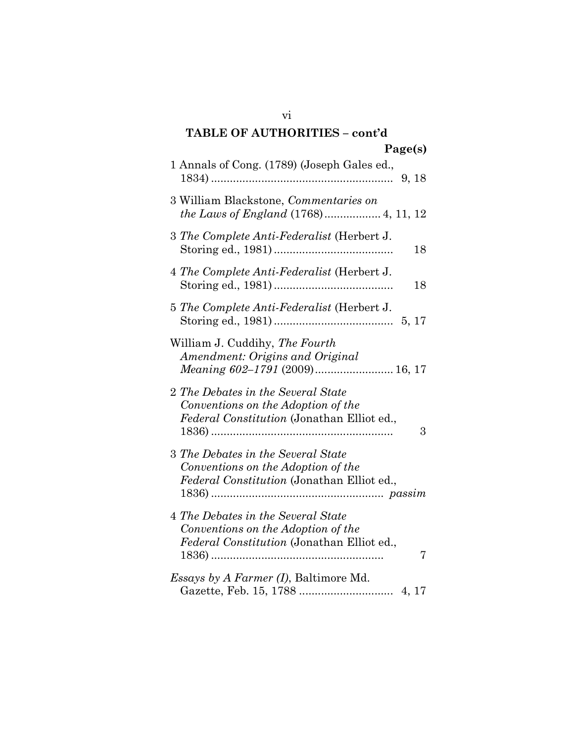| 1 Annals of Cong. (1789) (Joseph Gales ed.,                                                                                 |
|-----------------------------------------------------------------------------------------------------------------------------|
| 3 William Blackstone, Commentaries on                                                                                       |
| 3 The Complete Anti-Federalist (Herbert J.<br>18                                                                            |
| 4 The Complete Anti-Federalist (Herbert J.<br>18                                                                            |
| 5 The Complete Anti-Federalist (Herbert J.                                                                                  |
| William J. Cuddihy, The Fourth<br>Amendment: Origins and Original                                                           |
| 2 The Debates in the Several State<br>Conventions on the Adoption of the<br>Federal Constitution (Jonathan Elliot ed.,<br>3 |
| 3 The Debates in the Several State<br>Conventions on the Adoption of the<br>Federal Constitution (Jonathan Elliot ed.,      |
| 4 The Debates in the Several State<br>Conventions on the Adoption of the<br>Federal Constitution (Jonathan Elliot ed.,<br>7 |
| <i>Essays by A Farmer (I)</i> , Baltimore Md.                                                                               |

vi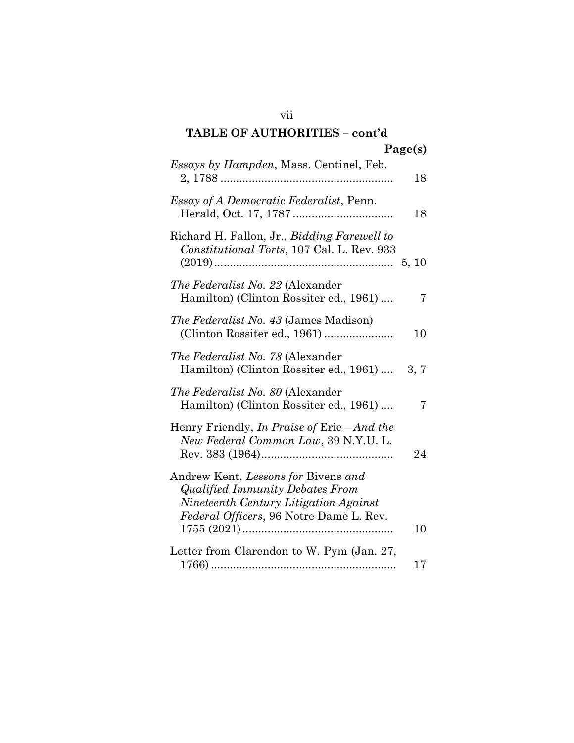| Essays by Hampden, Mass. Centinel, Feb.                                                                                                                                   | 18    |
|---------------------------------------------------------------------------------------------------------------------------------------------------------------------------|-------|
| <i>Essay of A Democratic Federalist</i> , Penn.                                                                                                                           | 18    |
| Richard H. Fallon, Jr., Bidding Farewell to<br>Constitutional Torts, 107 Cal. L. Rev. 933                                                                                 | 5, 10 |
| <i>The Federalist No. 22 (Alexander</i><br>Hamilton) (Clinton Rossiter ed., 1961)                                                                                         | 7     |
| <i>The Federalist No. 43 (James Madison)</i><br>(Clinton Rossiter ed., 1961)                                                                                              | 10    |
| <i>The Federalist No. 78</i> (Alexander<br>Hamilton) (Clinton Rossiter ed., 1961)                                                                                         | 3, 7  |
| The Federalist No. 80 (Alexander<br>Hamilton) (Clinton Rossiter ed., 1961)                                                                                                | 7     |
| Henry Friendly, In Praise of Erie—And the<br>New Federal Common Law, 39 N.Y.U. L.                                                                                         | 24    |
| Andrew Kent, Lessons for Bivens and<br><b>Qualified Immunity Debates From</b><br>Nineteenth Century Litigation Against<br><i>Federal Officers</i> , 96 Notre Dame L. Rev. |       |
|                                                                                                                                                                           | 10    |
| Letter from Clarendon to W. Pym (Jan. 27,                                                                                                                                 | 17    |

#### vii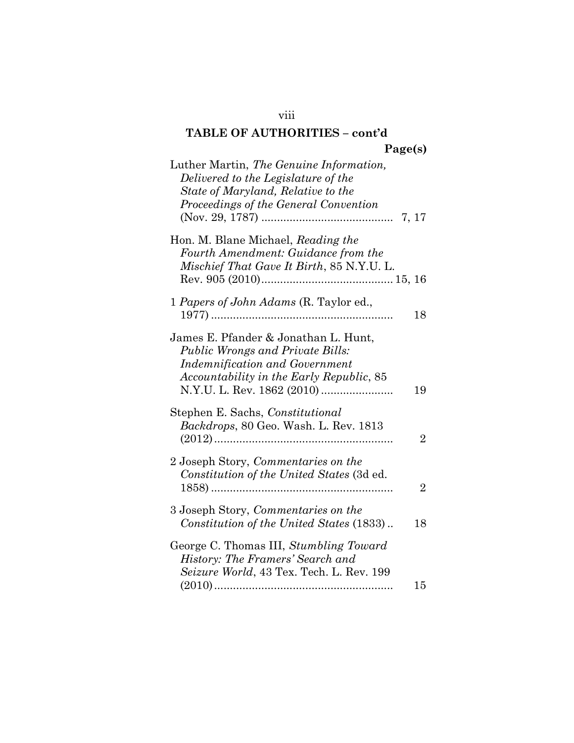| Luther Martin, The Genuine Information,<br>Delivered to the Legislature of the<br>State of Maryland, Relative to the<br>Proceedings of the General Convention        |                |
|----------------------------------------------------------------------------------------------------------------------------------------------------------------------|----------------|
| Hon. M. Blane Michael, Reading the<br>Fourth Amendment: Guidance from the<br>Mischief That Gave It Birth, 85 N.Y.U. L.                                               |                |
| 1 Papers of John Adams (R. Taylor ed.,                                                                                                                               | 18             |
| James E. Pfander & Jonathan L. Hunt,<br><b>Public Wrongs and Private Bills:</b><br><b>Indemnification and Government</b><br>Accountability in the Early Republic, 85 | 19             |
| Stephen E. Sachs, Constitutional<br>Backdrops, 80 Geo. Wash. L. Rev. 1813                                                                                            | $\overline{2}$ |
| 2 Joseph Story, Commentaries on the<br>Constitution of the United States (3d ed.                                                                                     | $\overline{2}$ |
| 3 Joseph Story, Commentaries on the<br>Constitution of the United States (1833)                                                                                      | 18             |
| George C. Thomas III, Stumbling Toward<br>History: The Framers' Search and<br>Seizure World, 43 Tex. Tech. L. Rev. 199                                               | 15             |

viii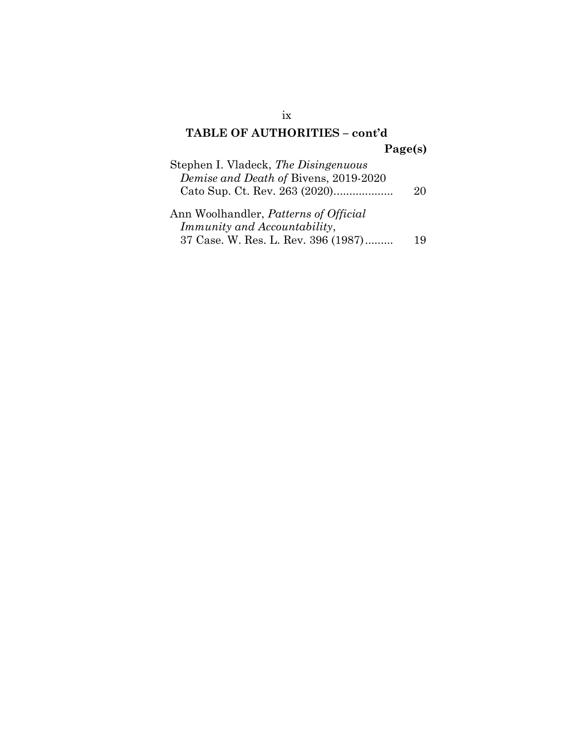| Stephen I. Vladeck, The Disingenuous                                                |    |
|-------------------------------------------------------------------------------------|----|
| Demise and Death of Bivens, 2019-2020                                               |    |
| Cato Sup. Ct. Rev. 263 (2020)                                                       | 20 |
| Ann Woolhandler, <i>Patterns of Official</i><br><i>Immunity and Accountability,</i> |    |

| 37 Case. W. Res. L. Rev. 396 (1987) |  |  | 19 |
|-------------------------------------|--|--|----|
|-------------------------------------|--|--|----|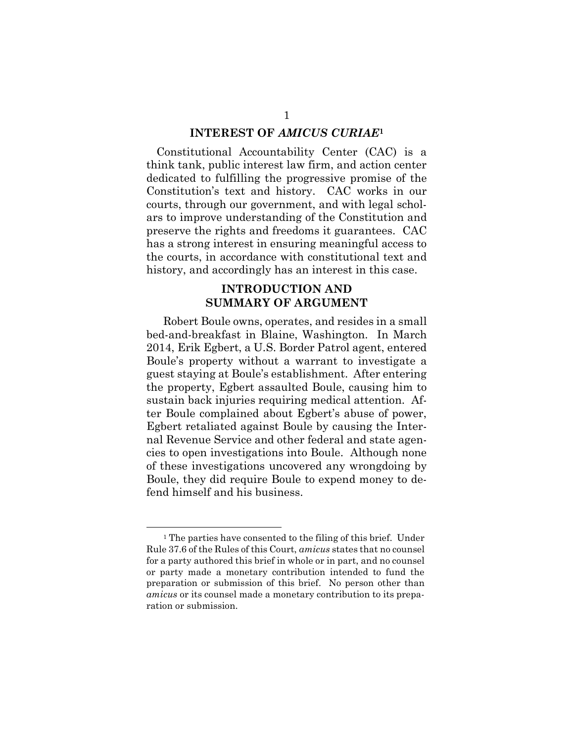#### INTEREST OF AMICUS CURIAE<sup>1</sup>

Constitutional Accountability Center (CAC) is a think tank, public interest law firm, and action center dedicated to fulfilling the progressive promise of the Constitution's text and history. CAC works in our courts, through our government, and with legal scholars to improve understanding of the Constitution and preserve the rights and freedoms it guarantees. CAC has a strong interest in ensuring meaningful access to the courts, in accordance with constitutional text and history, and accordingly has an interest in this case.

### INTRODUCTION AND SUMMARY OF ARGUMENT

Robert Boule owns, operates, and resides in a small bed-and-breakfast in Blaine, Washington. In March 2014, Erik Egbert, a U.S. Border Patrol agent, entered Boule's property without a warrant to investigate a guest staying at Boule's establishment. After entering the property, Egbert assaulted Boule, causing him to sustain back injuries requiring medical attention. After Boule complained about Egbert's abuse of power, Egbert retaliated against Boule by causing the Internal Revenue Service and other federal and state agencies to open investigations into Boule. Although none of these investigations uncovered any wrongdoing by Boule, they did require Boule to expend money to defend himself and his business.

<sup>&</sup>lt;sup>1</sup> The parties have consented to the filing of this brief. Under Rule 37.6 of the Rules of this Court, amicus states that no counsel for a party authored this brief in whole or in part, and no counsel or party made a monetary contribution intended to fund the preparation or submission of this brief. No person other than amicus or its counsel made a monetary contribution to its preparation or submission.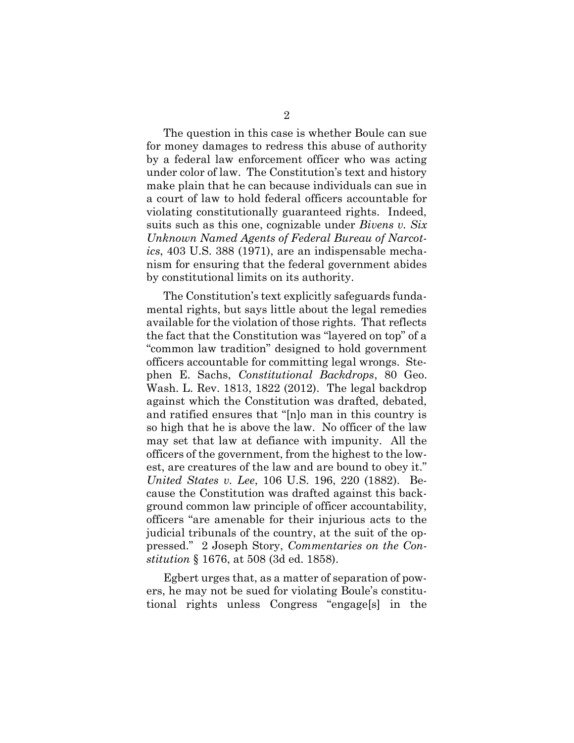The question in this case is whether Boule can sue for money damages to redress this abuse of authority by a federal law enforcement officer who was acting under color of law. The Constitution's text and history make plain that he can because individuals can sue in a court of law to hold federal officers accountable for violating constitutionally guaranteed rights. Indeed, suits such as this one, cognizable under *Bivens v. Six* Unknown Named Agents of Federal Bureau of Narcotics, 403 U.S. 388 (1971), are an indispensable mechanism for ensuring that the federal government abides by constitutional limits on its authority.

The Constitution's text explicitly safeguards fundamental rights, but says little about the legal remedies available for the violation of those rights. That reflects the fact that the Constitution was "layered on top" of a "common law tradition" designed to hold government officers accountable for committing legal wrongs. Stephen E. Sachs, Constitutional Backdrops, 80 Geo. Wash. L. Rev. 1813, 1822 (2012). The legal backdrop against which the Constitution was drafted, debated, and ratified ensures that "[n]o man in this country is so high that he is above the law. No officer of the law may set that law at defiance with impunity. All the officers of the government, from the highest to the lowest, are creatures of the law and are bound to obey it." United States v. Lee, 106 U.S. 196, 220 (1882). Because the Constitution was drafted against this background common law principle of officer accountability, officers "are amenable for their injurious acts to the judicial tribunals of the country, at the suit of the oppressed." 2 Joseph Story, Commentaries on the Constitution § 1676, at 508 (3d ed. 1858).

Egbert urges that, as a matter of separation of powers, he may not be sued for violating Boule's constitutional rights unless Congress "engage[s] in the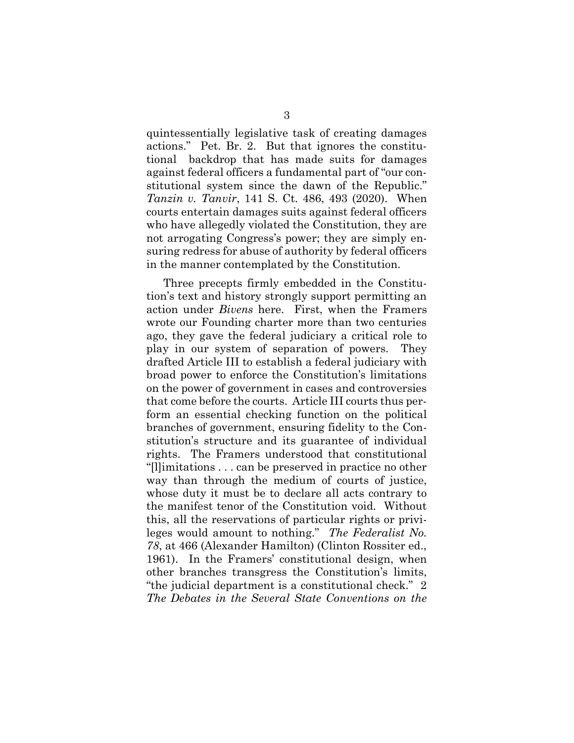quintessentially legislative task of creating damages actions." Pet. Br. 2. But that ignores the constitutional backdrop that has made suits for damages against federal officers a fundamental part of "our constitutional system since the dawn of the Republic." Tanzin v. Tanvir, 141 S. Ct. 486, 493 (2020). When courts entertain damages suits against federal officers who have allegedly violated the Constitution, they are not arrogating Congress's power; they are simply ensuring redress for abuse of authority by federal officers in the manner contemplated by the Constitution.

Three precepts firmly embedded in the Constitution's text and history strongly support permitting an action under Bivens here. First, when the Framers wrote our Founding charter more than two centuries ago, they gave the federal judiciary a critical role to play in our system of separation of powers. They drafted Article III to establish a federal judiciary with broad power to enforce the Constitution's limitations on the power of government in cases and controversies that come before the courts. Article III courts thus perform an essential checking function on the political branches of government, ensuring fidelity to the Constitution's structure and its guarantee of individual rights. The Framers understood that constitutional "[l]imitations . . . can be preserved in practice no other way than through the medium of courts of justice, whose duty it must be to declare all acts contrary to the manifest tenor of the Constitution void. Without this, all the reservations of particular rights or privileges would amount to nothing." The Federalist No. 78, at 466 (Alexander Hamilton) (Clinton Rossiter ed., 1961). In the Framers' constitutional design, when other branches transgress the Constitution's limits, "the judicial department is a constitutional check." 2 The Debates in the Several State Conventions on the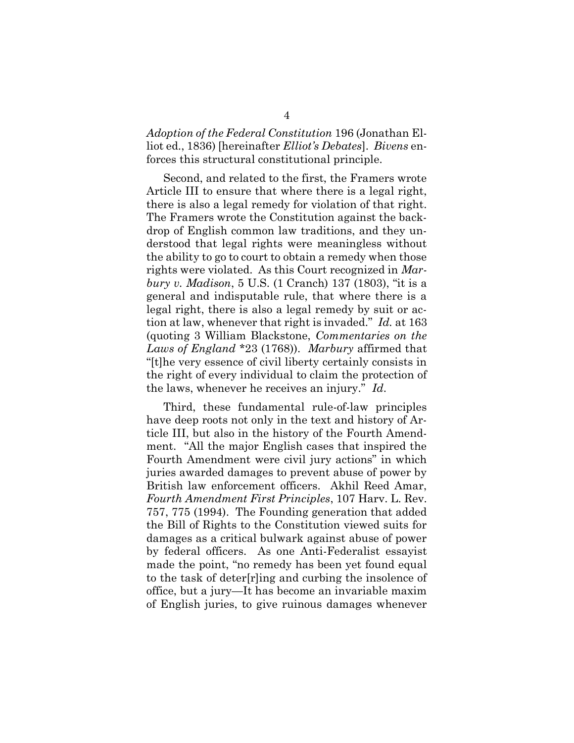Adoption of the Federal Constitution 196 (Jonathan Elliot ed., 1836) [hereinafter *Elliot's Debates*]. *Bivens* enforces this structural constitutional principle.

Second, and related to the first, the Framers wrote Article III to ensure that where there is a legal right, there is also a legal remedy for violation of that right. The Framers wrote the Constitution against the backdrop of English common law traditions, and they understood that legal rights were meaningless without the ability to go to court to obtain a remedy when those rights were violated. As this Court recognized in Marbury v. Madison, 5 U.S. (1 Cranch) 137 (1803), "it is a general and indisputable rule, that where there is a legal right, there is also a legal remedy by suit or action at law, whenever that right is invaded." Id. at 163 (quoting 3 William Blackstone, Commentaries on the Laws of England \*23 (1768)). Marbury affirmed that "[t]he very essence of civil liberty certainly consists in the right of every individual to claim the protection of the laws, whenever he receives an injury." Id.

Third, these fundamental rule-of-law principles have deep roots not only in the text and history of Article III, but also in the history of the Fourth Amendment. "All the major English cases that inspired the Fourth Amendment were civil jury actions" in which juries awarded damages to prevent abuse of power by British law enforcement officers. Akhil Reed Amar, Fourth Amendment First Principles, 107 Harv. L. Rev. 757, 775 (1994). The Founding generation that added the Bill of Rights to the Constitution viewed suits for damages as a critical bulwark against abuse of power by federal officers. As one Anti-Federalist essayist made the point, "no remedy has been yet found equal to the task of deter[r]ing and curbing the insolence of office, but a jury—It has become an invariable maxim of English juries, to give ruinous damages whenever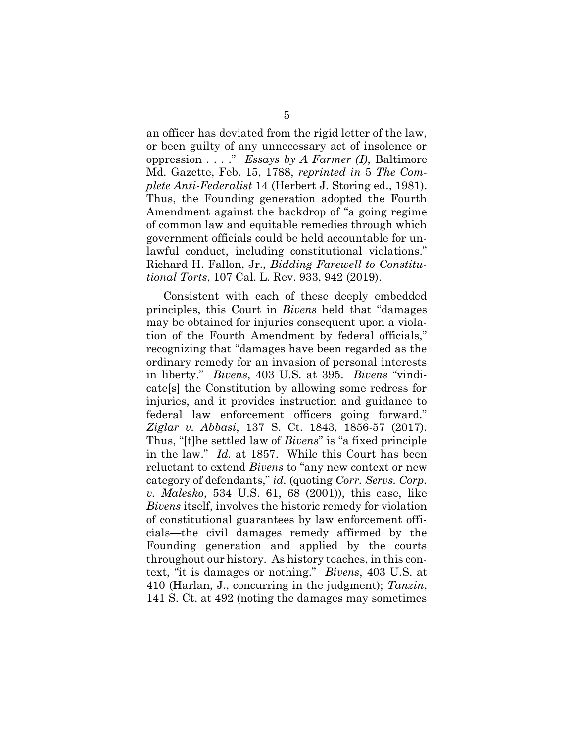an officer has deviated from the rigid letter of the law, or been guilty of any unnecessary act of insolence or oppression  $\ldots$  ." Essays by A Farmer (I), Baltimore Md. Gazette, Feb. 15, 1788, reprinted in 5 The Complete Anti-Federalist 14 (Herbert J. Storing ed., 1981). Thus, the Founding generation adopted the Fourth Amendment against the backdrop of "a going regime of common law and equitable remedies through which government officials could be held accountable for unlawful conduct, including constitutional violations." Richard H. Fallon, Jr., Bidding Farewell to Constitutional Torts, 107 Cal. L. Rev. 933, 942 (2019).

Consistent with each of these deeply embedded principles, this Court in Bivens held that "damages may be obtained for injuries consequent upon a violation of the Fourth Amendment by federal officials," recognizing that "damages have been regarded as the ordinary remedy for an invasion of personal interests in liberty." Bivens, 403 U.S. at 395. Bivens "vindicate[s] the Constitution by allowing some redress for injuries, and it provides instruction and guidance to federal law enforcement officers going forward." Ziglar v. Abbasi, 137 S. Ct. 1843, 1856-57 (2017). Thus, "[t]he settled law of Bivens" is "a fixed principle in the law." Id. at 1857. While this Court has been reluctant to extend Bivens to "any new context or new category of defendants," id. (quoting Corr. Servs. Corp. v. Malesko, 534 U.S. 61, 68 (2001)), this case, like Bivens itself, involves the historic remedy for violation of constitutional guarantees by law enforcement officials—the civil damages remedy affirmed by the Founding generation and applied by the courts throughout our history. As history teaches, in this context, "it is damages or nothing." Bivens, 403 U.S. at 410 (Harlan, J., concurring in the judgment); Tanzin, 141 S. Ct. at 492 (noting the damages may sometimes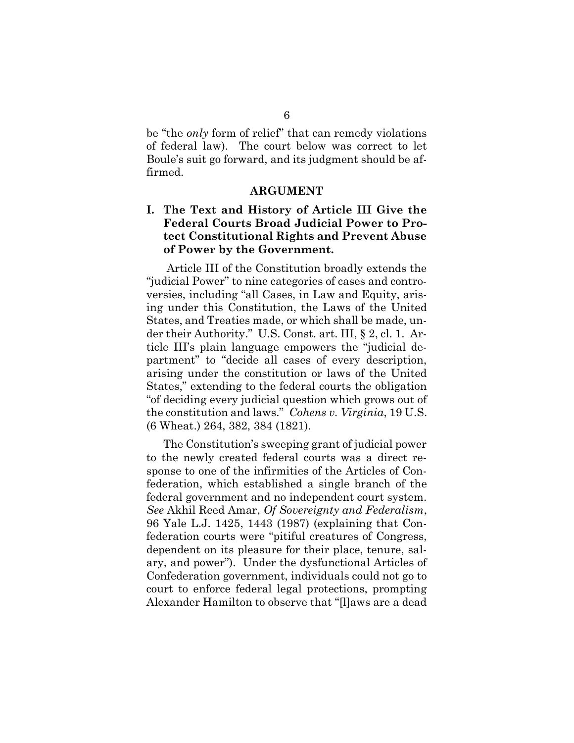be "the only form of relief" that can remedy violations of federal law). The court below was correct to let Boule's suit go forward, and its judgment should be affirmed.

#### ARGUMENT

### I. The Text and History of Article III Give the Federal Courts Broad Judicial Power to Protect Constitutional Rights and Prevent Abuse of Power by the Government.

Article III of the Constitution broadly extends the "judicial Power" to nine categories of cases and controversies, including "all Cases, in Law and Equity, arising under this Constitution, the Laws of the United States, and Treaties made, or which shall be made, under their Authority." U.S. Const. art. III, § 2, cl. 1. Article III's plain language empowers the "judicial department" to "decide all cases of every description, arising under the constitution or laws of the United States," extending to the federal courts the obligation "of deciding every judicial question which grows out of the constitution and laws." Cohens v. Virginia, 19 U.S. (6 Wheat.) 264, 382, 384 (1821).

The Constitution's sweeping grant of judicial power to the newly created federal courts was a direct response to one of the infirmities of the Articles of Confederation, which established a single branch of the federal government and no independent court system. See Akhil Reed Amar, Of Sovereignty and Federalism, 96 Yale L.J. 1425, 1443 (1987) (explaining that Confederation courts were "pitiful creatures of Congress, dependent on its pleasure for their place, tenure, salary, and power"). Under the dysfunctional Articles of Confederation government, individuals could not go to court to enforce federal legal protections, prompting Alexander Hamilton to observe that "[l]aws are a dead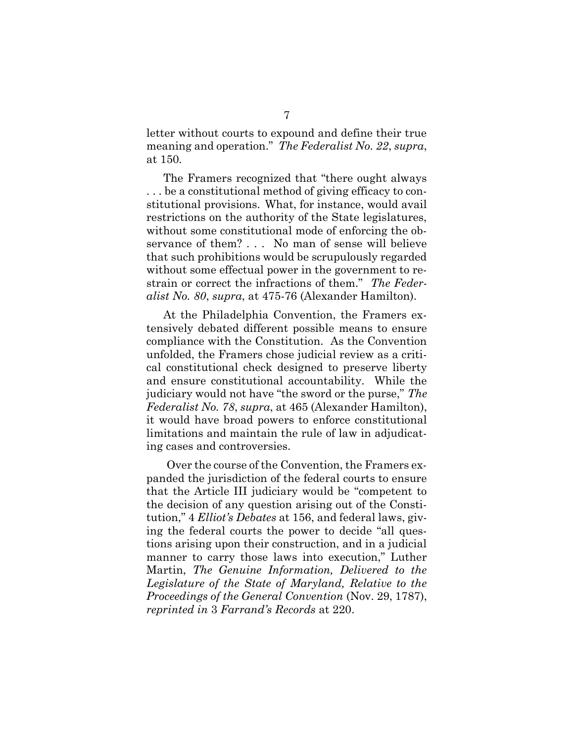letter without courts to expound and define their true meaning and operation." The Federalist No. 22, supra, at 150.

The Framers recognized that "there ought always . . . be a constitutional method of giving efficacy to constitutional provisions. What, for instance, would avail restrictions on the authority of the State legislatures, without some constitutional mode of enforcing the observance of them? . . . No man of sense will believe that such prohibitions would be scrupulously regarded without some effectual power in the government to restrain or correct the infractions of them." The Federalist No. 80, supra, at 475-76 (Alexander Hamilton).

At the Philadelphia Convention, the Framers extensively debated different possible means to ensure compliance with the Constitution. As the Convention unfolded, the Framers chose judicial review as a critical constitutional check designed to preserve liberty and ensure constitutional accountability. While the judiciary would not have "the sword or the purse," The Federalist No. 78, supra, at 465 (Alexander Hamilton), it would have broad powers to enforce constitutional limitations and maintain the rule of law in adjudicating cases and controversies.

Over the course of the Convention, the Framers expanded the jurisdiction of the federal courts to ensure that the Article III judiciary would be "competent to the decision of any question arising out of the Constitution," 4 Elliot's Debates at 156, and federal laws, giving the federal courts the power to decide "all questions arising upon their construction, and in a judicial manner to carry those laws into execution," Luther Martin, The Genuine Information, Delivered to the Legislature of the State of Maryland, Relative to the Proceedings of the General Convention (Nov. 29, 1787), reprinted in 3 Farrand's Records at 220.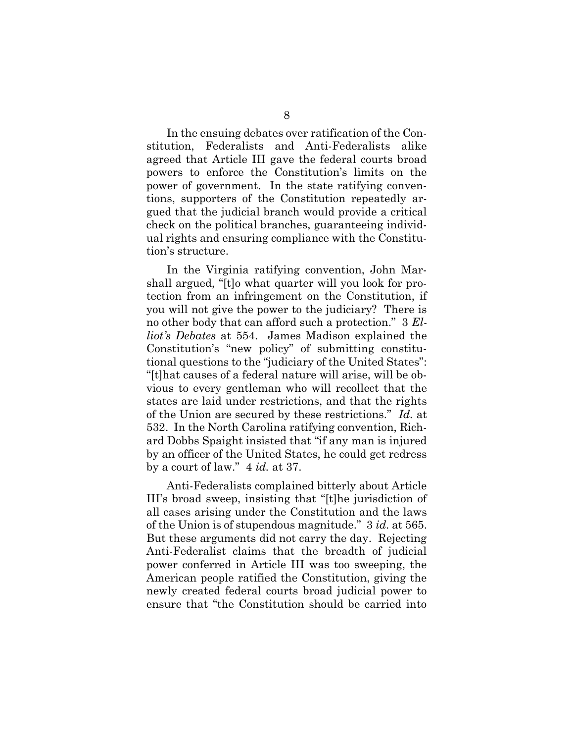In the ensuing debates over ratification of the Constitution, Federalists and Anti-Federalists alike agreed that Article III gave the federal courts broad powers to enforce the Constitution's limits on the power of government. In the state ratifying conventions, supporters of the Constitution repeatedly argued that the judicial branch would provide a critical check on the political branches, guaranteeing individual rights and ensuring compliance with the Constitution's structure.

In the Virginia ratifying convention, John Marshall argued, "[t]o what quarter will you look for protection from an infringement on the Constitution, if you will not give the power to the judiciary? There is no other body that can afford such a protection." 3 Elliot's Debates at 554. James Madison explained the Constitution's "new policy" of submitting constitutional questions to the "judiciary of the United States": "[t]hat causes of a federal nature will arise, will be obvious to every gentleman who will recollect that the states are laid under restrictions, and that the rights of the Union are secured by these restrictions." Id. at 532. In the North Carolina ratifying convention, Richard Dobbs Spaight insisted that "if any man is injured by an officer of the United States, he could get redress by a court of law." 4 id. at 37.

Anti-Federalists complained bitterly about Article III's broad sweep, insisting that "[t]he jurisdiction of all cases arising under the Constitution and the laws of the Union is of stupendous magnitude." 3 id. at 565. But these arguments did not carry the day. Rejecting Anti-Federalist claims that the breadth of judicial power conferred in Article III was too sweeping, the American people ratified the Constitution, giving the newly created federal courts broad judicial power to ensure that "the Constitution should be carried into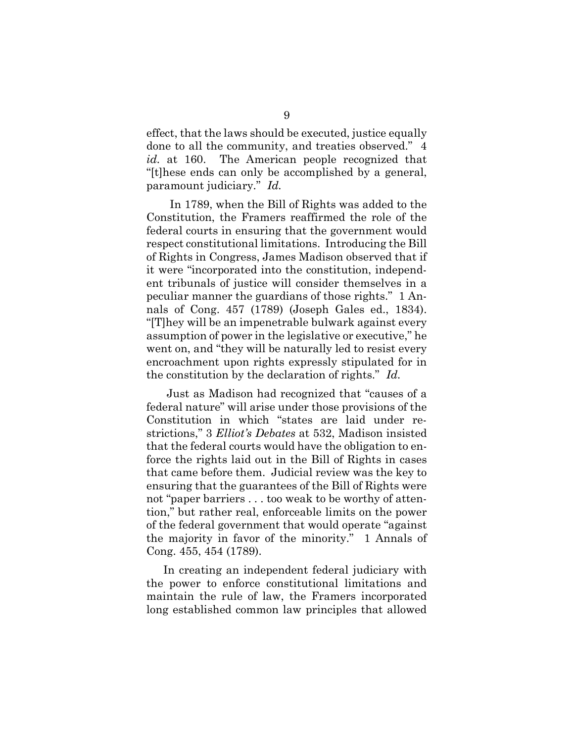effect, that the laws should be executed, justice equally done to all the community, and treaties observed." 4 id. at 160. The American people recognized that "[t]hese ends can only be accomplished by a general, paramount judiciary." Id.

 In 1789, when the Bill of Rights was added to the Constitution, the Framers reaffirmed the role of the federal courts in ensuring that the government would respect constitutional limitations. Introducing the Bill of Rights in Congress, James Madison observed that if it were "incorporated into the constitution, independent tribunals of justice will consider themselves in a peculiar manner the guardians of those rights." 1 Annals of Cong. 457 (1789) (Joseph Gales ed., 1834). "[T]hey will be an impenetrable bulwark against every assumption of power in the legislative or executive," he went on, and "they will be naturally led to resist every encroachment upon rights expressly stipulated for in the constitution by the declaration of rights." Id.

Just as Madison had recognized that "causes of a federal nature" will arise under those provisions of the Constitution in which "states are laid under restrictions," 3 Elliot's Debates at 532, Madison insisted that the federal courts would have the obligation to enforce the rights laid out in the Bill of Rights in cases that came before them. Judicial review was the key to ensuring that the guarantees of the Bill of Rights were not "paper barriers . . . too weak to be worthy of attention," but rather real, enforceable limits on the power of the federal government that would operate "against the majority in favor of the minority." 1 Annals of Cong. 455, 454 (1789).

In creating an independent federal judiciary with the power to enforce constitutional limitations and maintain the rule of law, the Framers incorporated long established common law principles that allowed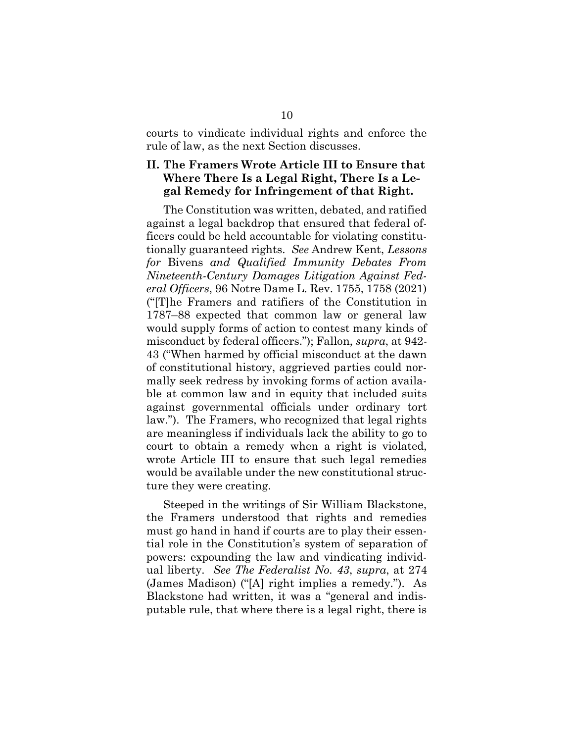courts to vindicate individual rights and enforce the rule of law, as the next Section discusses.

### II. The Framers Wrote Article III to Ensure that Where There Is a Legal Right, There Is a Legal Remedy for Infringement of that Right.

The Constitution was written, debated, and ratified against a legal backdrop that ensured that federal officers could be held accountable for violating constitutionally guaranteed rights. See Andrew Kent, Lessons for Bivens and Qualified Immunity Debates From Nineteenth-Century Damages Litigation Against Federal Officers, 96 Notre Dame L. Rev. 1755, 1758 (2021) ("[T]he Framers and ratifiers of the Constitution in 1787–88 expected that common law or general law would supply forms of action to contest many kinds of misconduct by federal officers."); Fallon, supra, at 942- 43 ("When harmed by official misconduct at the dawn of constitutional history, aggrieved parties could normally seek redress by invoking forms of action available at common law and in equity that included suits against governmental officials under ordinary tort law."). The Framers, who recognized that legal rights are meaningless if individuals lack the ability to go to court to obtain a remedy when a right is violated, wrote Article III to ensure that such legal remedies would be available under the new constitutional structure they were creating.

Steeped in the writings of Sir William Blackstone, the Framers understood that rights and remedies must go hand in hand if courts are to play their essential role in the Constitution's system of separation of powers: expounding the law and vindicating individual liberty. See The Federalist No. 43, supra, at 274 (James Madison) ("[A] right implies a remedy."). As Blackstone had written, it was a "general and indisputable rule, that where there is a legal right, there is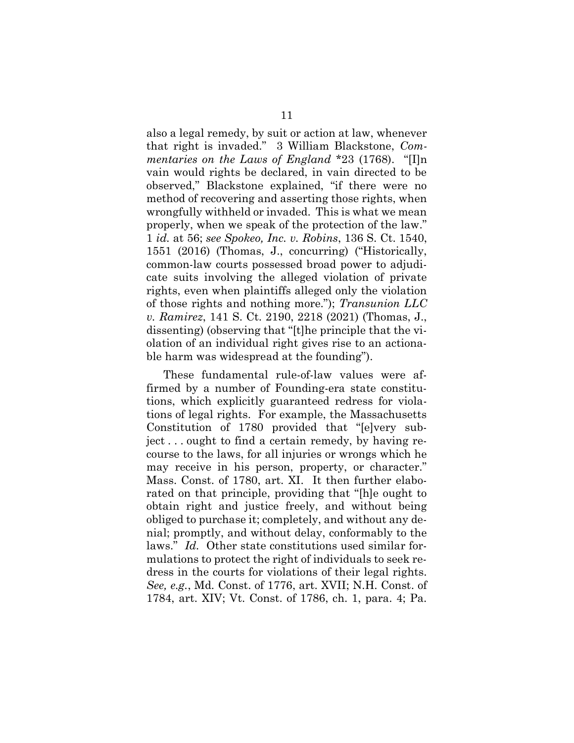also a legal remedy, by suit or action at law, whenever that right is invaded." 3 William Blackstone, Commentaries on the Laws of England \*23 (1768). "[I]n vain would rights be declared, in vain directed to be observed," Blackstone explained, "if there were no method of recovering and asserting those rights, when wrongfully withheld or invaded. This is what we mean properly, when we speak of the protection of the law." 1 id. at 56; see Spokeo, Inc. v. Robins, 136 S. Ct. 1540, 1551 (2016) (Thomas, J., concurring) ("Historically, common-law courts possessed broad power to adjudicate suits involving the alleged violation of private rights, even when plaintiffs alleged only the violation of those rights and nothing more."); Transunion LLC v. Ramirez, 141 S. Ct. 2190, 2218 (2021) (Thomas, J., dissenting) (observing that "[t]he principle that the violation of an individual right gives rise to an actionable harm was widespread at the founding").

These fundamental rule-of-law values were affirmed by a number of Founding-era state constitutions, which explicitly guaranteed redress for violations of legal rights. For example, the Massachusetts Constitution of 1780 provided that "[e]very subject . . . ought to find a certain remedy, by having recourse to the laws, for all injuries or wrongs which he may receive in his person, property, or character." Mass. Const. of 1780, art. XI. It then further elaborated on that principle, providing that "[h]e ought to obtain right and justice freely, and without being obliged to purchase it; completely, and without any denial; promptly, and without delay, conformably to the laws." Id. Other state constitutions used similar formulations to protect the right of individuals to seek redress in the courts for violations of their legal rights. See, e.g., Md. Const. of 1776, art. XVII; N.H. Const. of 1784, art. XIV; Vt. Const. of 1786, ch. 1, para. 4; Pa.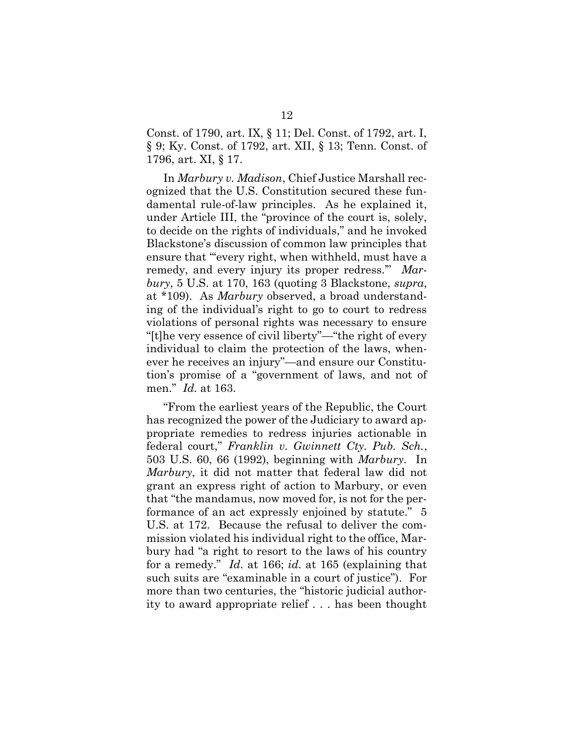Const. of 1790, art. IX, § 11; Del. Const. of 1792, art. I, § 9; Ky. Const. of 1792, art. XII, § 13; Tenn. Const. of 1796, art. XI, § 17.

In Marbury v. Madison, Chief Justice Marshall recognized that the U.S. Constitution secured these fundamental rule-of-law principles. As he explained it, under Article III, the "province of the court is, solely, to decide on the rights of individuals," and he invoked Blackstone's discussion of common law principles that ensure that "'every right, when withheld, must have a remedy, and every injury its proper redress." Mar $bury, 5$  U.S. at 170, 163 (quoting 3 Blackstone, supra, at \*109). As Marbury observed, a broad understanding of the individual's right to go to court to redress violations of personal rights was necessary to ensure "[t]he very essence of civil liberty"—"the right of every individual to claim the protection of the laws, whenever he receives an injury"—and ensure our Constitution's promise of a "government of laws, and not of men." Id. at 163.

"From the earliest years of the Republic, the Court has recognized the power of the Judiciary to award appropriate remedies to redress injuries actionable in federal court," Franklin v. Gwinnett Cty. Pub. Sch., 503 U.S. 60, 66 (1992), beginning with Marbury. In Marbury, it did not matter that federal law did not grant an express right of action to Marbury, or even that "the mandamus, now moved for, is not for the performance of an act expressly enjoined by statute." 5 U.S. at 172. Because the refusal to deliver the commission violated his individual right to the office, Marbury had "a right to resort to the laws of his country for a remedy." Id. at 166; id. at 165 (explaining that such suits are "examinable in a court of justice"). For more than two centuries, the "historic judicial authority to award appropriate relief . . . has been thought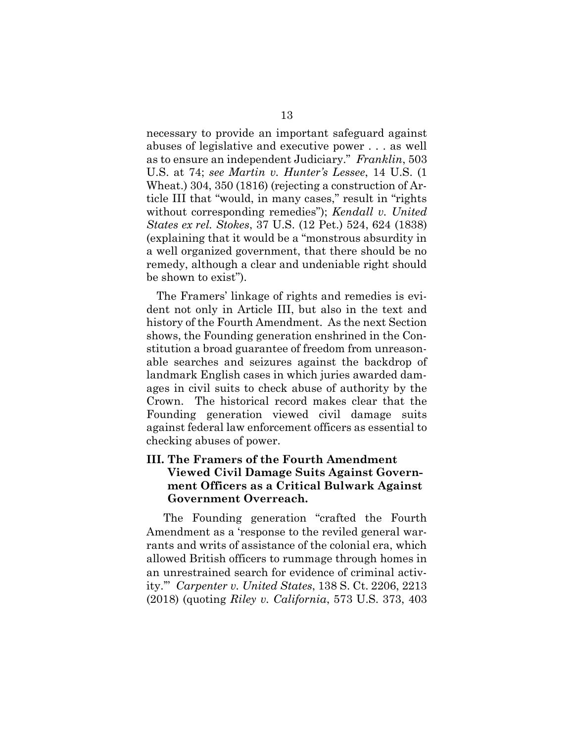necessary to provide an important safeguard against abuses of legislative and executive power . . . as well as to ensure an independent Judiciary." Franklin, 503 U.S. at 74; see Martin v. Hunter's Lessee, 14 U.S. (1 Wheat.) 304, 350 (1816) (rejecting a construction of Article III that "would, in many cases," result in "rights without corresponding remedies"); *Kendall v. United* States ex rel. Stokes, 37 U.S. (12 Pet.) 524, 624 (1838) (explaining that it would be a "monstrous absurdity in a well organized government, that there should be no remedy, although a clear and undeniable right should be shown to exist").

The Framers' linkage of rights and remedies is evident not only in Article III, but also in the text and history of the Fourth Amendment. As the next Section shows, the Founding generation enshrined in the Constitution a broad guarantee of freedom from unreasonable searches and seizures against the backdrop of landmark English cases in which juries awarded damages in civil suits to check abuse of authority by the Crown. The historical record makes clear that the Founding generation viewed civil damage suits against federal law enforcement officers as essential to checking abuses of power.

### III. The Framers of the Fourth Amendment Viewed Civil Damage Suits Against Government Officers as a Critical Bulwark Against Government Overreach.

The Founding generation "crafted the Fourth Amendment as a 'response to the reviled general warrants and writs of assistance of the colonial era, which allowed British officers to rummage through homes in an unrestrained search for evidence of criminal activity.'" Carpenter v. United States, 138 S. Ct. 2206, 2213 (2018) (quoting Riley v. California, 573 U.S. 373, 403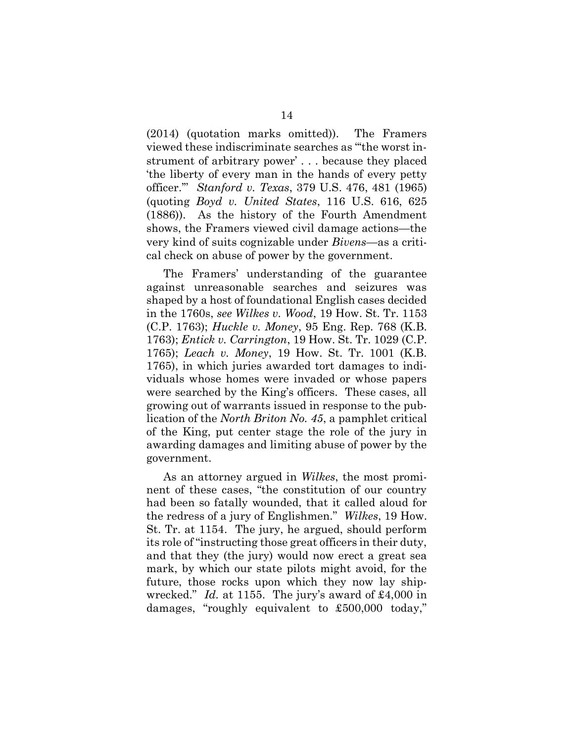(2014) (quotation marks omitted)). The Framers viewed these indiscriminate searches as "'the worst instrument of arbitrary power' . . . because they placed 'the liberty of every man in the hands of every petty officer.'" Stanford v. Texas, 379 U.S. 476, 481 (1965) (quoting Boyd v. United States, 116 U.S. 616, 625 (1886)). As the history of the Fourth Amendment shows, the Framers viewed civil damage actions—the very kind of suits cognizable under Bivens—as a critical check on abuse of power by the government.

The Framers' understanding of the guarantee against unreasonable searches and seizures was shaped by a host of foundational English cases decided in the 1760s, see Wilkes v. Wood, 19 How. St. Tr. 1153 (C.P. 1763); Huckle v. Money, 95 Eng. Rep. 768 (K.B. 1763); Entick v. Carrington, 19 How. St. Tr. 1029 (C.P. 1765); Leach v. Money, 19 How. St. Tr. 1001 (K.B. 1765), in which juries awarded tort damages to individuals whose homes were invaded or whose papers were searched by the King's officers. These cases, all growing out of warrants issued in response to the publication of the North Briton No. 45, a pamphlet critical of the King, put center stage the role of the jury in awarding damages and limiting abuse of power by the government.

As an attorney argued in Wilkes, the most prominent of these cases, "the constitution of our country had been so fatally wounded, that it called aloud for the redress of a jury of Englishmen." Wilkes, 19 How. St. Tr. at 1154. The jury, he argued, should perform its role of "instructing those great officers in their duty, and that they (the jury) would now erect a great sea mark, by which our state pilots might avoid, for the future, those rocks upon which they now lay shipwrecked." Id. at 1155. The jury's award of £4,000 in damages, "roughly equivalent to £500,000 today,"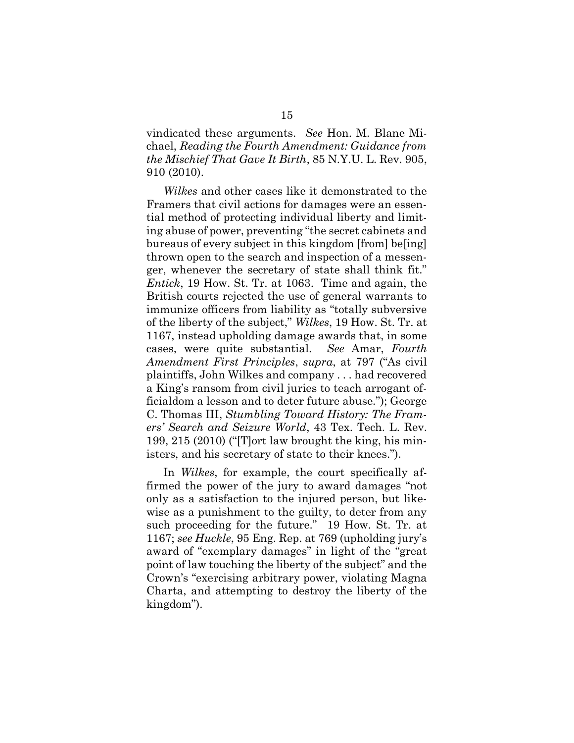vindicated these arguments. See Hon. M. Blane Michael, Reading the Fourth Amendment: Guidance from the Mischief That Gave It Birth, 85 N.Y.U. L. Rev. 905, 910 (2010).

Wilkes and other cases like it demonstrated to the Framers that civil actions for damages were an essential method of protecting individual liberty and limiting abuse of power, preventing "the secret cabinets and bureaus of every subject in this kingdom [from] be[ing] thrown open to the search and inspection of a messenger, whenever the secretary of state shall think fit." Entick, 19 How. St. Tr. at 1063. Time and again, the British courts rejected the use of general warrants to immunize officers from liability as "totally subversive of the liberty of the subject," Wilkes, 19 How. St. Tr. at 1167, instead upholding damage awards that, in some cases, were quite substantial. See Amar, Fourth Amendment First Principles, supra, at 797 ("As civil plaintiffs, John Wilkes and company . . . had recovered a King's ransom from civil juries to teach arrogant officialdom a lesson and to deter future abuse."); George C. Thomas III, Stumbling Toward History: The Framers' Search and Seizure World, 43 Tex. Tech. L. Rev. 199, 215 (2010) ("[T]ort law brought the king, his ministers, and his secretary of state to their knees.").

In *Wilkes*, for example, the court specifically affirmed the power of the jury to award damages "not only as a satisfaction to the injured person, but likewise as a punishment to the guilty, to deter from any such proceeding for the future." 19 How. St. Tr. at 1167; see Huckle, 95 Eng. Rep. at 769 (upholding jury's award of "exemplary damages" in light of the "great point of law touching the liberty of the subject" and the Crown's "exercising arbitrary power, violating Magna Charta, and attempting to destroy the liberty of the kingdom").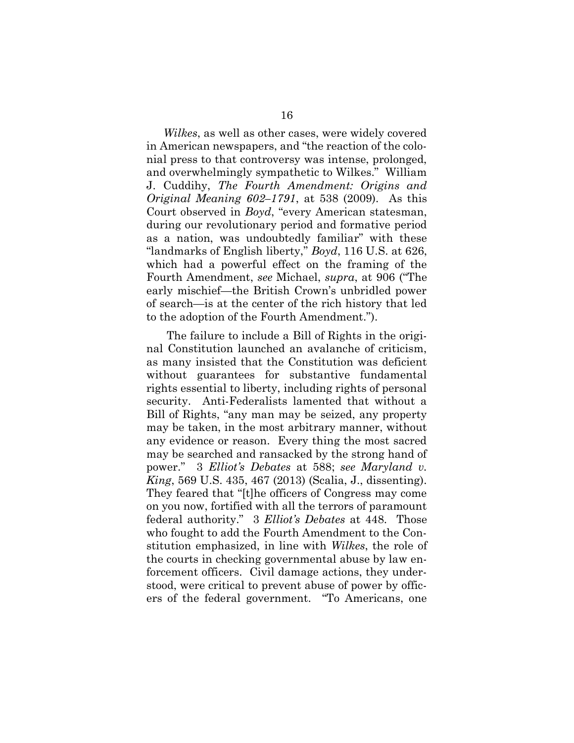Wilkes, as well as other cases, were widely covered in American newspapers, and "the reaction of the colonial press to that controversy was intense, prolonged, and overwhelmingly sympathetic to Wilkes." William J. Cuddihy, The Fourth Amendment: Origins and Original Meaning 602–1791, at 538 (2009). As this Court observed in Boyd, "every American statesman, during our revolutionary period and formative period as a nation, was undoubtedly familiar" with these "landmarks of English liberty," Boyd, 116 U.S. at 626, which had a powerful effect on the framing of the Fourth Amendment, see Michael, supra, at 906 ("The early mischief—the British Crown's unbridled power of search—is at the center of the rich history that led to the adoption of the Fourth Amendment.").

The failure to include a Bill of Rights in the original Constitution launched an avalanche of criticism, as many insisted that the Constitution was deficient without guarantees for substantive fundamental rights essential to liberty, including rights of personal security. Anti-Federalists lamented that without a Bill of Rights, "any man may be seized, any property may be taken, in the most arbitrary manner, without any evidence or reason. Every thing the most sacred may be searched and ransacked by the strong hand of power." 3 Elliot's Debates at 588; see Maryland v. King, 569 U.S. 435, 467 (2013) (Scalia, J., dissenting). They feared that "[t]he officers of Congress may come on you now, fortified with all the terrors of paramount federal authority." 3 Elliot's Debates at 448. Those who fought to add the Fourth Amendment to the Constitution emphasized, in line with Wilkes, the role of the courts in checking governmental abuse by law enforcement officers. Civil damage actions, they understood, were critical to prevent abuse of power by officers of the federal government. "To Americans, one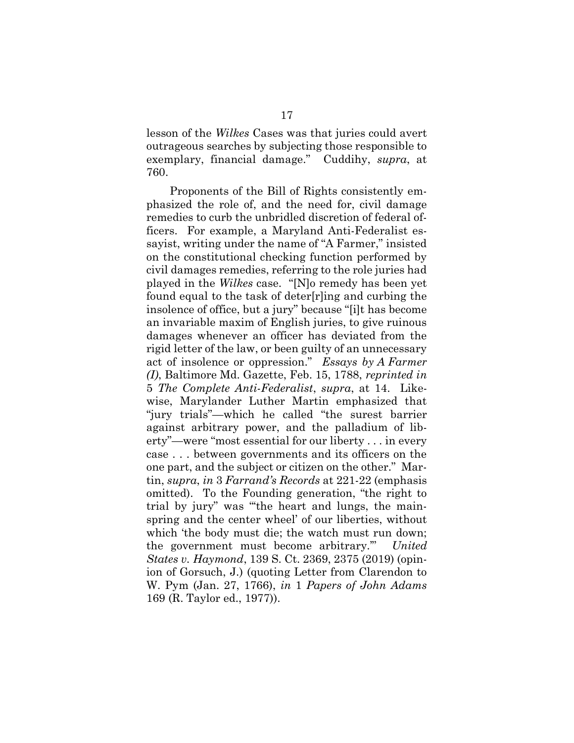lesson of the Wilkes Cases was that juries could avert outrageous searches by subjecting those responsible to exemplary, financial damage." Cuddihy, supra, at 760.

 Proponents of the Bill of Rights consistently emphasized the role of, and the need for, civil damage remedies to curb the unbridled discretion of federal officers. For example, a Maryland Anti-Federalist essayist, writing under the name of "A Farmer," insisted on the constitutional checking function performed by civil damages remedies, referring to the role juries had played in the Wilkes case. "[N]o remedy has been yet found equal to the task of deter[r]ing and curbing the insolence of office, but a jury" because "[i]t has become an invariable maxim of English juries, to give ruinous damages whenever an officer has deviated from the rigid letter of the law, or been guilty of an unnecessary act of insolence or oppression." Essays by A Farmer (I), Baltimore Md. Gazette, Feb. 15, 1788, reprinted in 5 The Complete Anti-Federalist, supra, at 14. Likewise, Marylander Luther Martin emphasized that "jury trials"—which he called "the surest barrier against arbitrary power, and the palladium of liberty"—were "most essential for our liberty . . . in every case . . . between governments and its officers on the one part, and the subject or citizen on the other." Martin, supra, in 3 Farrand's Records at 221-22 (emphasis omitted). To the Founding generation, "the right to trial by jury" was "'the heart and lungs, the mainspring and the center wheel' of our liberties, without which 'the body must die; the watch must run down; the government must become arbitrary.'" United States v. Haymond, 139 S. Ct. 2369, 2375 (2019) (opinion of Gorsuch, J.) (quoting Letter from Clarendon to W. Pym (Jan. 27, 1766), in 1 Papers of John Adams 169 (R. Taylor ed., 1977)).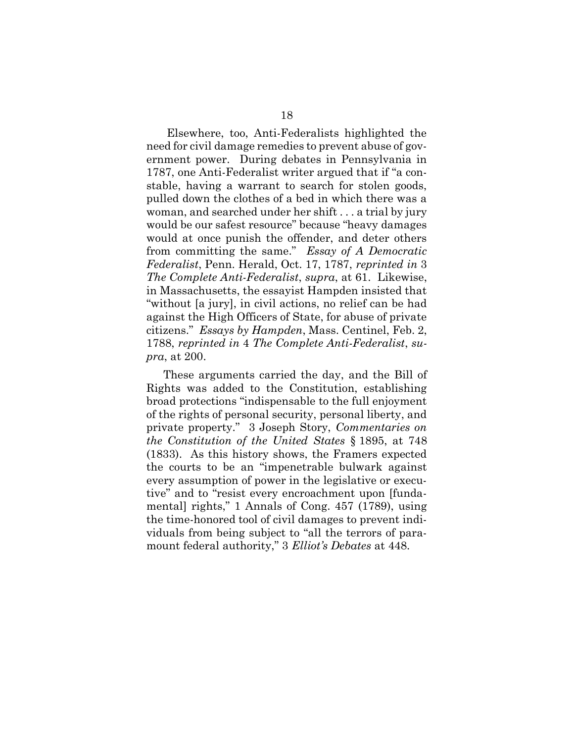Elsewhere, too, Anti-Federalists highlighted the need for civil damage remedies to prevent abuse of government power. During debates in Pennsylvania in 1787, one Anti-Federalist writer argued that if "a constable, having a warrant to search for stolen goods, pulled down the clothes of a bed in which there was a woman, and searched under her shift . . . a trial by jury would be our safest resource" because "heavy damages would at once punish the offender, and deter others from committing the same." Essay of A Democratic Federalist, Penn. Herald, Oct. 17, 1787, reprinted in 3 The Complete Anti-Federalist, supra, at 61. Likewise, in Massachusetts, the essayist Hampden insisted that "without [a jury], in civil actions, no relief can be had against the High Officers of State, for abuse of private citizens." Essays by Hampden, Mass. Centinel, Feb. 2, 1788, reprinted in 4 The Complete Anti-Federalist, supra, at 200.

These arguments carried the day, and the Bill of Rights was added to the Constitution, establishing broad protections "indispensable to the full enjoyment of the rights of personal security, personal liberty, and private property." 3 Joseph Story, Commentaries on the Constitution of the United States § 1895, at 748 (1833). As this history shows, the Framers expected the courts to be an "impenetrable bulwark against every assumption of power in the legislative or executive" and to "resist every encroachment upon [fundamental] rights," 1 Annals of Cong. 457 (1789), using the time-honored tool of civil damages to prevent individuals from being subject to "all the terrors of paramount federal authority," 3 Elliot's Debates at 448.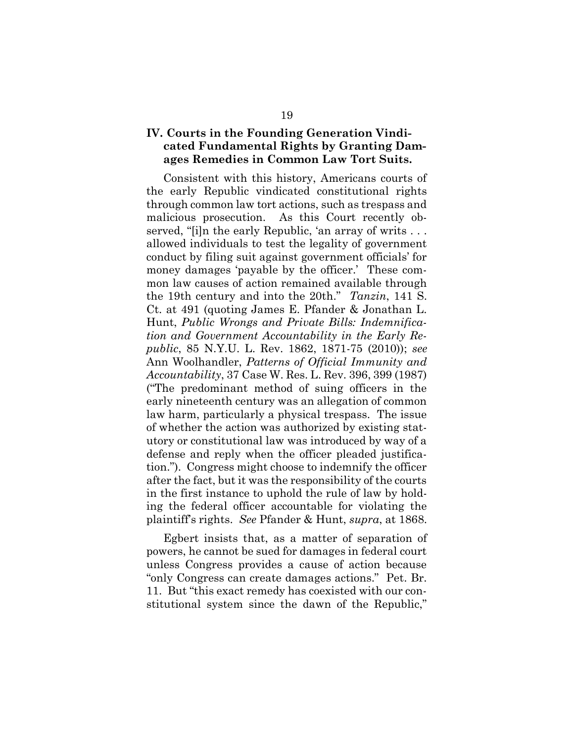### IV. Courts in the Founding Generation Vindicated Fundamental Rights by Granting Damages Remedies in Common Law Tort Suits.

Consistent with this history, Americans courts of the early Republic vindicated constitutional rights through common law tort actions, such as trespass and malicious prosecution. As this Court recently observed, "[i]n the early Republic, 'an array of writs . . . allowed individuals to test the legality of government conduct by filing suit against government officials' for money damages 'payable by the officer.' These common law causes of action remained available through the 19th century and into the 20th." Tanzin, 141 S. Ct. at 491 (quoting James E. Pfander & Jonathan L. Hunt, Public Wrongs and Private Bills: Indemnification and Government Accountability in the Early Republic, 85 N.Y.U. L. Rev. 1862, 1871-75 (2010)); see Ann Woolhandler, Patterns of Official Immunity and Accountability, 37 Case W. Res. L. Rev. 396, 399 (1987) ("The predominant method of suing officers in the early nineteenth century was an allegation of common law harm, particularly a physical trespass. The issue of whether the action was authorized by existing statutory or constitutional law was introduced by way of a defense and reply when the officer pleaded justification."). Congress might choose to indemnify the officer after the fact, but it was the responsibility of the courts in the first instance to uphold the rule of law by holding the federal officer accountable for violating the plaintiff's rights. See Pfander & Hunt, supra, at 1868.

Egbert insists that, as a matter of separation of powers, he cannot be sued for damages in federal court unless Congress provides a cause of action because "only Congress can create damages actions." Pet. Br. 11. But "this exact remedy has coexisted with our constitutional system since the dawn of the Republic,"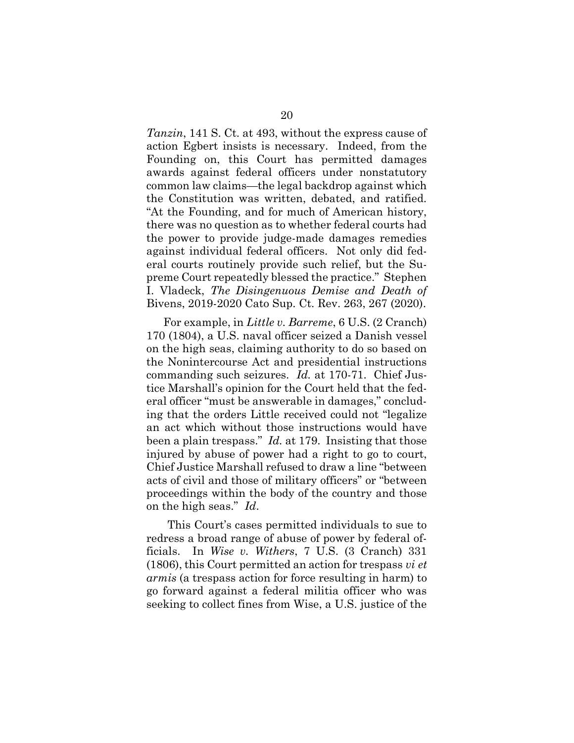Tanzin, 141 S. Ct. at 493, without the express cause of action Egbert insists is necessary. Indeed, from the Founding on, this Court has permitted damages awards against federal officers under nonstatutory common law claims—the legal backdrop against which the Constitution was written, debated, and ratified. "At the Founding, and for much of American history, there was no question as to whether federal courts had the power to provide judge-made damages remedies against individual federal officers. Not only did federal courts routinely provide such relief, but the Supreme Court repeatedly blessed the practice." Stephen I. Vladeck, The Disingenuous Demise and Death of Bivens, 2019-2020 Cato Sup. Ct. Rev. 263, 267 (2020).

For example, in Little v. Barreme, 6 U.S. (2 Cranch) 170 (1804), a U.S. naval officer seized a Danish vessel on the high seas, claiming authority to do so based on the Nonintercourse Act and presidential instructions commanding such seizures. Id. at 170-71. Chief Justice Marshall's opinion for the Court held that the federal officer "must be answerable in damages," concluding that the orders Little received could not "legalize an act which without those instructions would have been a plain trespass." Id. at 179. Insisting that those injured by abuse of power had a right to go to court, Chief Justice Marshall refused to draw a line "between acts of civil and those of military officers" or "between proceedings within the body of the country and those on the high seas." Id.

This Court's cases permitted individuals to sue to redress a broad range of abuse of power by federal officials. In Wise v. Withers, 7 U.S. (3 Cranch) 331 (1806), this Court permitted an action for trespass vi et armis (a trespass action for force resulting in harm) to go forward against a federal militia officer who was seeking to collect fines from Wise, a U.S. justice of the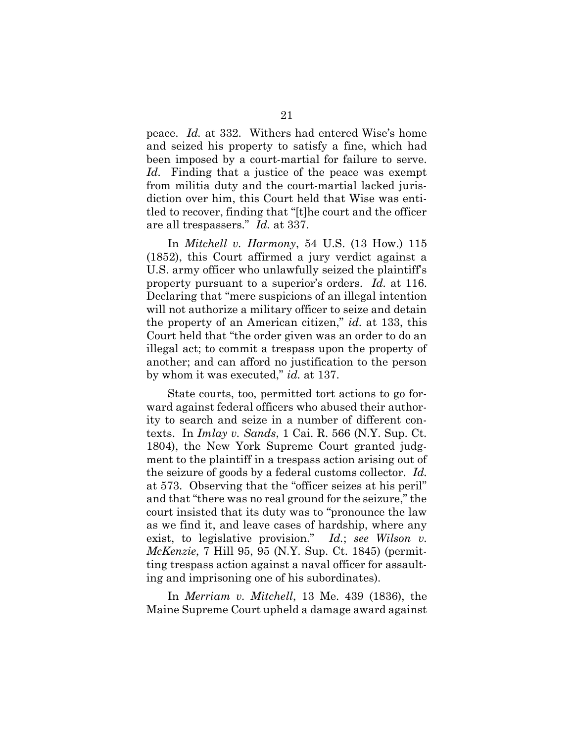peace. Id. at 332. Withers had entered Wise's home and seized his property to satisfy a fine, which had been imposed by a court-martial for failure to serve. Id. Finding that a justice of the peace was exempt from militia duty and the court-martial lacked jurisdiction over him, this Court held that Wise was entitled to recover, finding that "[t]he court and the officer are all trespassers." Id. at 337.

In Mitchell v. Harmony, 54 U.S. (13 How.) 115 (1852), this Court affirmed a jury verdict against a U.S. army officer who unlawfully seized the plaintiff's property pursuant to a superior's orders. Id. at 116. Declaring that "mere suspicions of an illegal intention will not authorize a military officer to seize and detain the property of an American citizen," id. at 133, this Court held that "the order given was an order to do an illegal act; to commit a trespass upon the property of another; and can afford no justification to the person by whom it was executed," *id.* at 137.

State courts, too, permitted tort actions to go forward against federal officers who abused their authority to search and seize in a number of different contexts. In  $Imlay$  v. Sands, 1 Cai. R. 566 (N.Y. Sup. Ct. 1804), the New York Supreme Court granted judgment to the plaintiff in a trespass action arising out of the seizure of goods by a federal customs collector. Id. at 573. Observing that the "officer seizes at his peril" and that "there was no real ground for the seizure," the court insisted that its duty was to "pronounce the law as we find it, and leave cases of hardship, where any exist, to legislative provision." Id.; see Wilson v. McKenzie, 7 Hill 95, 95 (N.Y. Sup. Ct. 1845) (permitting trespass action against a naval officer for assaulting and imprisoning one of his subordinates).

In Merriam v. Mitchell, 13 Me. 439 (1836), the Maine Supreme Court upheld a damage award against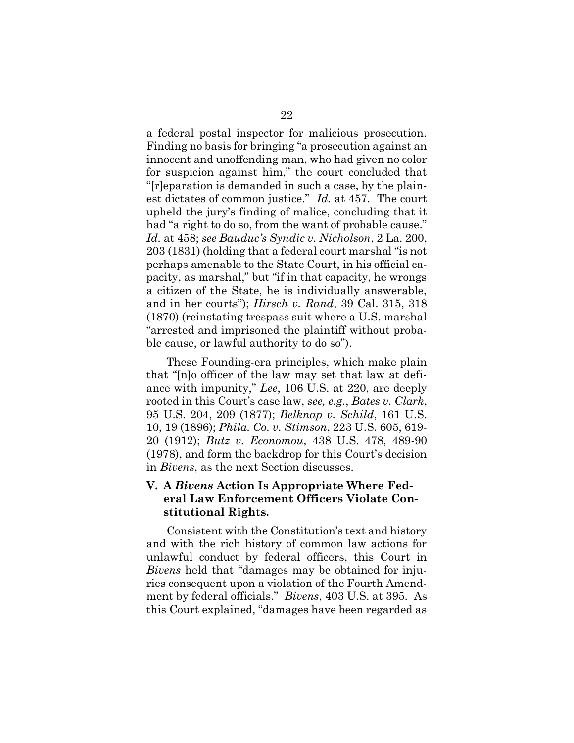a federal postal inspector for malicious prosecution. Finding no basis for bringing "a prosecution against an innocent and unoffending man, who had given no color for suspicion against him," the court concluded that "[r]eparation is demanded in such a case, by the plainest dictates of common justice." Id. at 457. The court upheld the jury's finding of malice, concluding that it had "a right to do so, from the want of probable cause." Id. at 458; see Bauduc's Syndic v. Nicholson, 2 La. 200, 203 (1831) (holding that a federal court marshal "is not perhaps amenable to the State Court, in his official capacity, as marshal," but "if in that capacity, he wrongs a citizen of the State, he is individually answerable, and in her courts"); Hirsch v. Rand, 39 Cal. 315, 318 (1870) (reinstating trespass suit where a U.S. marshal "arrested and imprisoned the plaintiff without probable cause, or lawful authority to do so").

 These Founding-era principles, which make plain that "[n]o officer of the law may set that law at defiance with impunity," Lee, 106 U.S. at 220, are deeply rooted in this Court's case law, see, e.g., Bates v. Clark, 95 U.S. 204, 209 (1877); Belknap v. Schild, 161 U.S. 10, 19 (1896); Phila. Co. v. Stimson, 223 U.S. 605, 619- 20 (1912); Butz v. Economou, 438 U.S. 478, 489-90 (1978), and form the backdrop for this Court's decision in Bivens, as the next Section discusses.

### V. A Bivens Action Is Appropriate Where Federal Law Enforcement Officers Violate Constitutional Rights.

Consistent with the Constitution's text and history and with the rich history of common law actions for unlawful conduct by federal officers, this Court in Bivens held that "damages may be obtained for injuries consequent upon a violation of the Fourth Amendment by federal officials." Bivens, 403 U.S. at 395. As this Court explained, "damages have been regarded as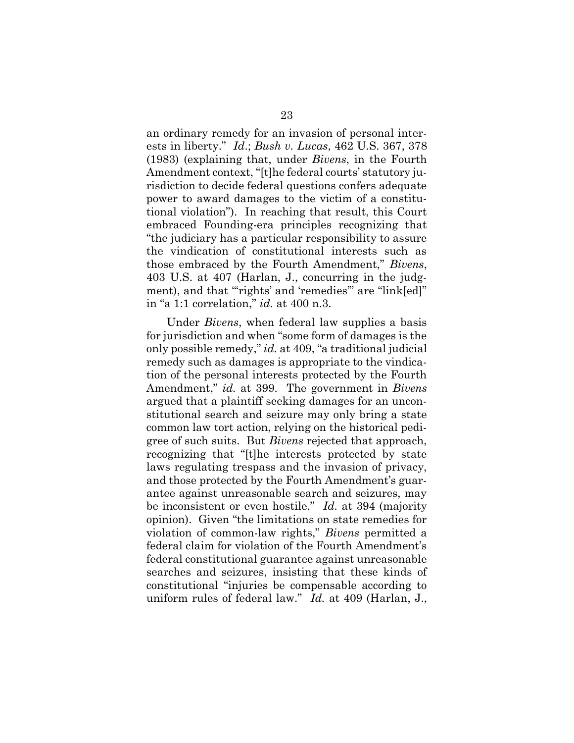an ordinary remedy for an invasion of personal interests in liberty."  $Id$ ; Bush v. Lucas, 462 U.S. 367, 378 (1983) (explaining that, under Bivens, in the Fourth Amendment context, "[t]he federal courts' statutory jurisdiction to decide federal questions confers adequate power to award damages to the victim of a constitutional violation"). In reaching that result, this Court embraced Founding-era principles recognizing that "the judiciary has a particular responsibility to assure the vindication of constitutional interests such as those embraced by the Fourth Amendment," Bivens, 403 U.S. at 407 (Harlan, J., concurring in the judgment), and that ""rights' and 'remedies" are "link[ed]" in "a 1:1 correlation," id. at 400 n.3.

Under Bivens, when federal law supplies a basis for jurisdiction and when "some form of damages is the only possible remedy," id. at 409, "a traditional judicial remedy such as damages is appropriate to the vindication of the personal interests protected by the Fourth Amendment," id. at 399. The government in Bivens argued that a plaintiff seeking damages for an unconstitutional search and seizure may only bring a state common law tort action, relying on the historical pedigree of such suits. But *Bivens* rejected that approach, recognizing that "[t]he interests protected by state laws regulating trespass and the invasion of privacy, and those protected by the Fourth Amendment's guarantee against unreasonable search and seizures, may be inconsistent or even hostile." Id. at 394 (majority opinion). Given "the limitations on state remedies for violation of common-law rights," Bivens permitted a federal claim for violation of the Fourth Amendment's federal constitutional guarantee against unreasonable searches and seizures, insisting that these kinds of constitutional "injuries be compensable according to uniform rules of federal law." Id. at 409 (Harlan, J.,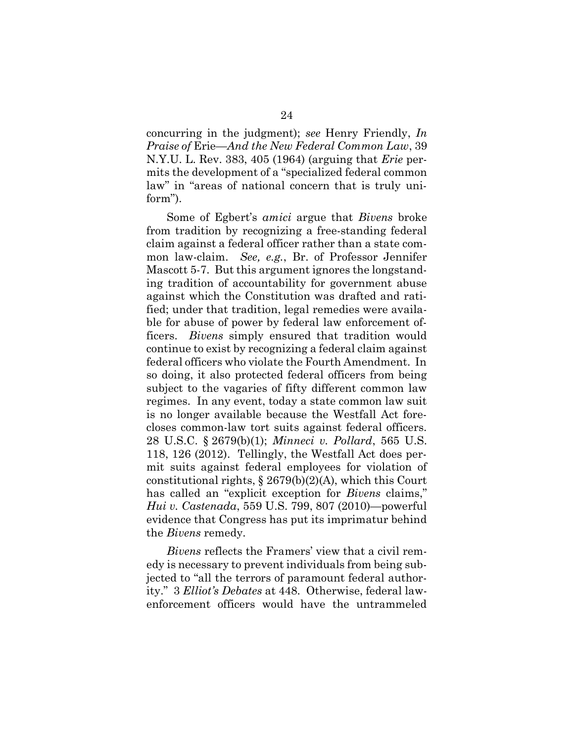concurring in the judgment); see Henry Friendly, In Praise of Erie—And the New Federal Common Law, 39 N.Y.U. L. Rev. 383, 405 (1964) (arguing that Erie permits the development of a "specialized federal common law" in "areas of national concern that is truly uniform").

Some of Egbert's amici argue that Bivens broke from tradition by recognizing a free-standing federal claim against a federal officer rather than a state common law-claim. See, e.g., Br. of Professor Jennifer Mascott 5-7. But this argument ignores the longstanding tradition of accountability for government abuse against which the Constitution was drafted and ratified; under that tradition, legal remedies were available for abuse of power by federal law enforcement officers. Bivens simply ensured that tradition would continue to exist by recognizing a federal claim against federal officers who violate the Fourth Amendment. In so doing, it also protected federal officers from being subject to the vagaries of fifty different common law regimes. In any event, today a state common law suit is no longer available because the Westfall Act forecloses common-law tort suits against federal officers. 28 U.S.C. § 2679(b)(1); Minneci v. Pollard, 565 U.S. 118, 126 (2012). Tellingly, the Westfall Act does permit suits against federal employees for violation of constitutional rights, § 2679(b)(2)(A), which this Court has called an "explicit exception for *Bivens* claims," Hui v. Castenada, 559 U.S. 799, 807 (2010)—powerful evidence that Congress has put its imprimatur behind the Bivens remedy.

Bivens reflects the Framers' view that a civil remedy is necessary to prevent individuals from being subjected to "all the terrors of paramount federal authority." 3 Elliot's Debates at 448. Otherwise, federal lawenforcement officers would have the untrammeled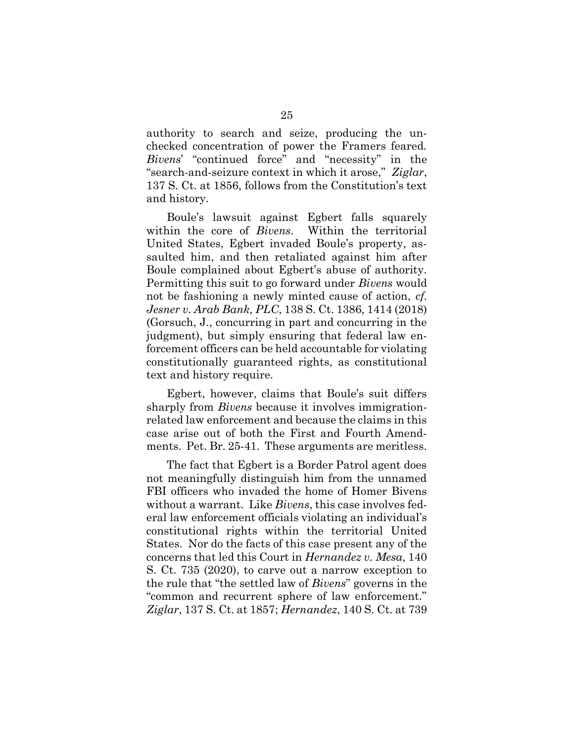authority to search and seize, producing the unchecked concentration of power the Framers feared. Bivens' "continued force" and "necessity" in the "search-and-seizure context in which it arose," Ziglar, 137 S. Ct. at 1856, follows from the Constitution's text and history.

Boule's lawsuit against Egbert falls squarely within the core of *Bivens*. Within the territorial United States, Egbert invaded Boule's property, assaulted him, and then retaliated against him after Boule complained about Egbert's abuse of authority. Permitting this suit to go forward under Bivens would not be fashioning a newly minted cause of action, cf. Jesner v. Arab Bank, PLC, 138 S. Ct. 1386, 1414 (2018) (Gorsuch, J., concurring in part and concurring in the judgment), but simply ensuring that federal law enforcement officers can be held accountable for violating constitutionally guaranteed rights, as constitutional text and history require.

Egbert, however, claims that Boule's suit differs sharply from *Bivens* because it involves immigrationrelated law enforcement and because the claims in this case arise out of both the First and Fourth Amendments. Pet. Br. 25-41. These arguments are meritless.

The fact that Egbert is a Border Patrol agent does not meaningfully distinguish him from the unnamed FBI officers who invaded the home of Homer Bivens without a warrant. Like *Bivens*, this case involves federal law enforcement officials violating an individual's constitutional rights within the territorial United States. Nor do the facts of this case present any of the concerns that led this Court in Hernandez v. Mesa, 140 S. Ct. 735 (2020), to carve out a narrow exception to the rule that "the settled law of Bivens" governs in the "common and recurrent sphere of law enforcement." Ziglar, 137 S. Ct. at 1857; Hernandez, 140 S. Ct. at 739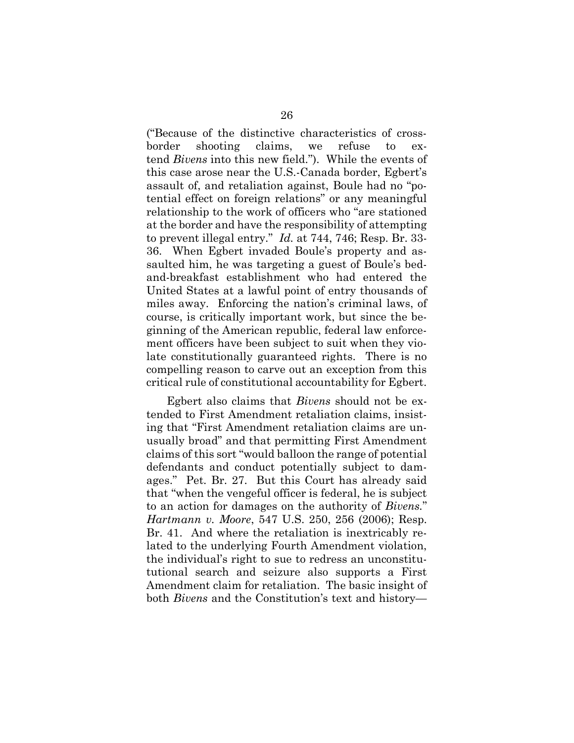("Because of the distinctive characteristics of crossborder shooting claims, we refuse to extend Bivens into this new field."). While the events of this case arose near the U.S.-Canada border, Egbert's assault of, and retaliation against, Boule had no "potential effect on foreign relations" or any meaningful relationship to the work of officers who "are stationed at the border and have the responsibility of attempting to prevent illegal entry." Id. at 744, 746; Resp. Br. 33- 36. When Egbert invaded Boule's property and assaulted him, he was targeting a guest of Boule's bedand-breakfast establishment who had entered the United States at a lawful point of entry thousands of miles away. Enforcing the nation's criminal laws, of course, is critically important work, but since the beginning of the American republic, federal law enforcement officers have been subject to suit when they violate constitutionally guaranteed rights. There is no compelling reason to carve out an exception from this critical rule of constitutional accountability for Egbert.

Egbert also claims that Bivens should not be extended to First Amendment retaliation claims, insisting that "First Amendment retaliation claims are unusually broad" and that permitting First Amendment claims of this sort "would balloon the range of potential defendants and conduct potentially subject to damages." Pet. Br. 27. But this Court has already said that "when the vengeful officer is federal, he is subject to an action for damages on the authority of Bivens." Hartmann v. Moore, 547 U.S. 250, 256 (2006); Resp. Br. 41. And where the retaliation is inextricably related to the underlying Fourth Amendment violation, the individual's right to sue to redress an unconstitututional search and seizure also supports a First Amendment claim for retaliation. The basic insight of both Bivens and the Constitution's text and history—